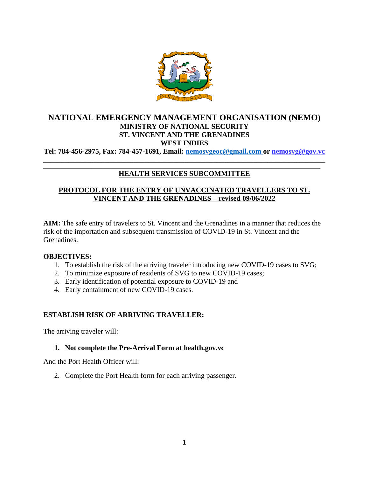

# **NATIONAL EMERGENCY MANAGEMENT ORGANISATION (NEMO) MINISTRY OF NATIONAL SECURITY ST. VINCENT AND THE GRENADINES WEST INDIES**

**Tel: 784-456-2975, Fax: 784-457-1691, Email: [nemosvgeoc@gmail.com o](mailto:nemosvgeoc@gmail.com)r nemosvg@gov.vc** \_\_\_\_\_\_\_\_\_\_\_\_\_\_\_\_\_\_\_\_\_\_\_\_\_\_\_\_\_\_\_\_\_\_\_\_\_\_\_\_\_\_\_\_\_\_\_\_\_\_\_\_\_\_\_\_\_\_\_\_\_\_\_\_\_\_\_\_\_\_\_\_\_\_\_\_\_\_

#### \_\_\_\_\_\_\_\_\_\_\_\_\_\_\_\_\_\_\_\_\_\_\_\_\_\_\_\_\_\_\_\_\_\_\_\_\_\_\_\_\_\_\_\_\_\_\_\_\_\_\_\_\_\_\_\_\_\_\_\_\_\_\_\_\_\_\_\_\_\_\_\_\_\_\_\_\_\_\_\_\_\_\_\_\_\_\_\_\_\_\_\_\_\_\_\_\_\_\_\_\_\_\_\_\_\_\_\_\_\_\_\_\_\_\_ **HEALTH SERVICES SUBCOMMITTEE**

# **PROTOCOL FOR THE ENTRY OF UNVACCINATED TRAVELLERS TO ST. VINCENT AND THE GRENADINES – revised 09/06/2022**

**AIM:** The safe entry of travelers to St. Vincent and the Grenadines in a manner that reduces the risk of the importation and subsequent transmission of COVID-19 in St. Vincent and the Grenadines.

### **OBJECTIVES:**

- 1. To establish the risk of the arriving traveler introducing new COVID-19 cases to SVG;
- 2. To minimize exposure of residents of SVG to new COVID-19 cases;
- 3. Early identification of potential exposure to COVID-19 and
- 4. Early containment of new COVID-19 cases.

### **ESTABLISH RISK OF ARRIVING TRAVELLER:**

The arriving traveler will:

### **1. Not complete the Pre-Arrival Form at health.gov.vc**

And the Port Health Officer will:

2. Complete the Port Health form for each arriving passenger.